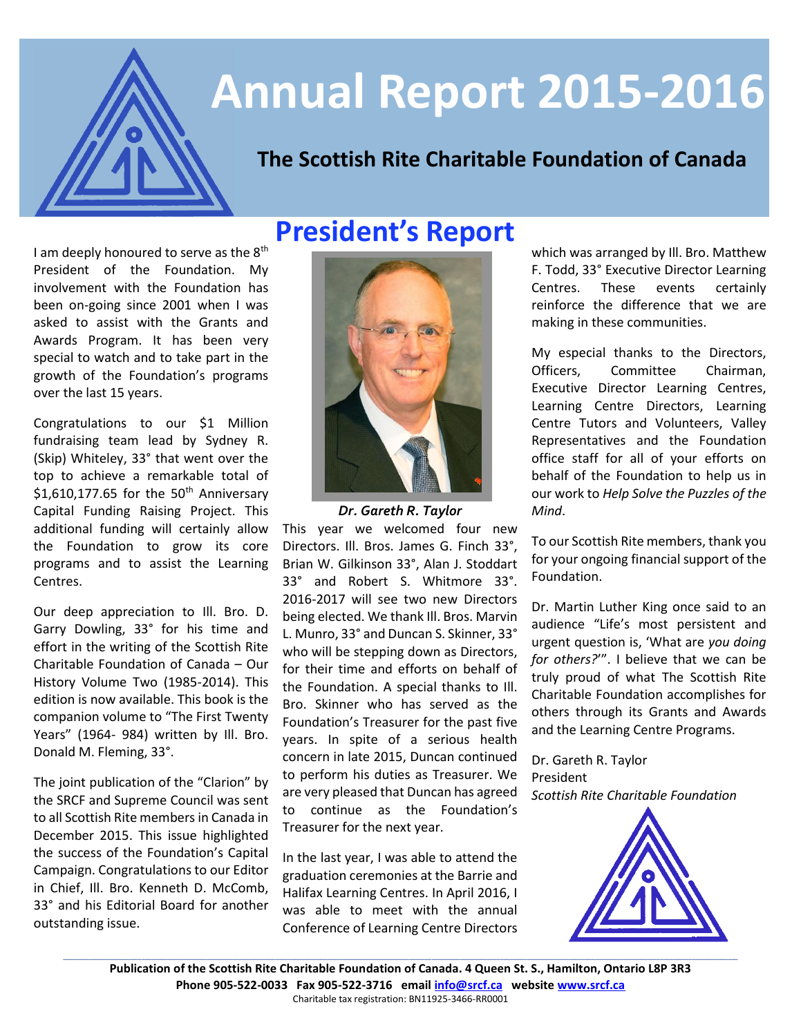

# **Annual Report 2015-2016**

# **The Scottish Rite Charitable Foundation of Canada**

I am deeply honoured to serve as the 8<sup>th</sup> President of the Foundation. My involvement with the Foundation has been on-going since 2001 when I was asked to assist with the Grants and Awards Program. It has been very special to watch and to take part in the growth of the Foundation's programs over the last 15 years. **President's Report**

Congratulations to our \$1 Million fundraising team lead by Sydney R. (Skip) Whiteley, 33° that went over the top to achieve a remarkable total of \$1,610,177.65 for the  $50<sup>th</sup>$  Anniversary Capital Funding Raising Project. This additional funding will certainly allow the Foundation to grow its core programs and to assist the Learning Centres.

Our deep appreciation to Ill. Bro. D. Garry Dowling, 33° for his time and effort in the writing of the Scottish Rite Charitable Foundation of Canada – Our History Volume Two (1985-2014). This edition is now available. This book is the companion volume to "The First Twenty Years" (1964- 984) written by Ill. Bro. Donald M. Fleming, 33°.

The joint publication of the "Clarion" by the SRCF and Supreme Council was sent to all Scottish Rite members in Canada in December 2015. This issue highlighted the success of the Foundation's Capital Campaign. Congratulations to our Editor in Chief, Ill. Bro. Kenneth D. McComb, 33° and his Editorial Board for another outstanding issue.



*Dr. Gareth R. Taylor*

This year we welcomed four new Directors. Ill. Bros. James G. Finch 33°, Brian W. Gilkinson 33°, Alan J. Stoddart 33° and Robert S. Whitmore 33°. 2016-2017 will see two new Directors being elected. We thank Ill. Bros. Marvin L. Munro, 33° and Duncan S. Skinner, 33° who will be stepping down as Directors, for their time and efforts on behalf of the Foundation. A special thanks to Ill. Bro. Skinner who has served as the Foundation's Treasurer for the past five years. In spite of a serious health concern in late 2015, Duncan continued to perform his duties as Treasurer. We are very pleased that Duncan has agreed to continue as the Foundation's Treasurer for the next year.

In the last year, I was able to attend the graduation ceremonies at the Barrie and Halifax Learning Centres. In April 2016, I was able to meet with the annual Conference of Learning Centre Directors

which was arranged by Ill. Bro. Matthew F. Todd, 33° Executive Director Learning Centres. These events certainly reinforce the difference that we are making in these communities.

My especial thanks to the Directors, Officers, Committee Chairman, Executive Director Learning Centres, Learning Centre Directors, Learning Centre Tutors and Volunteers, Valley Representatives and the Foundation office staff for all of your efforts on behalf of the Foundation to help us in our work to *Help Solve the Puzzles of the Mind*.

To our Scottish Rite members, thank you for your ongoing financial support of the Foundation.

Dr. Martin Luther King once said to an audience "Life's most persistent and urgent question is, 'What are *you doing for others?*'". I believe that we can be truly proud of what The Scottish Rite Charitable Foundation accomplishes for others through its Grants and Awards and the Learning Centre Programs.

Dr. Gareth R. Taylor President *Scottish Rite Charitable Foundation*



**Publication of the Scottish Rite Charitable Foundation of Canada. 4 Queen St. S., Hamilton, Ontario L8P 3R3 Phone 905-522-0033 Fax 905-522-3716 email [info@srcf.ca](mailto:info@srcf.ca) website [www.srcf.ca](http://www.srcf.ca/)** Charitable tax registration: BN11925-3466-RR0001

**\_\_\_\_\_\_\_\_\_\_\_\_\_\_\_\_\_\_\_\_\_\_\_\_\_\_\_\_\_\_\_\_\_\_\_\_\_\_\_\_\_\_\_\_\_\_\_\_\_\_\_\_\_\_\_\_\_\_\_\_\_\_\_\_\_\_\_\_\_\_\_\_\_\_\_\_\_\_\_\_\_\_\_\_\_\_\_\_\_\_\_\_\_\_\_\_\_\_\_\_\_\_\_\_\_\_\_\_\_\_\_\_\_\_\_\_\_\_\_\_\_\_\_\_\_\_\_\_\_\_\_\_\_\_\_\_\_\_\_\_\_\_\_\_\_\_\_\_\_\_\_\_\_\_\_\_\_\_\_\_\_\_\_\_\_\_\_\_\_\_\_\_\_\_\_\_\_\_\_\_\_\_\_\_\_\_\_\_\_\_\_\_\_\_\_\_\_\_\_\_\_\_\_\_\_\_\_**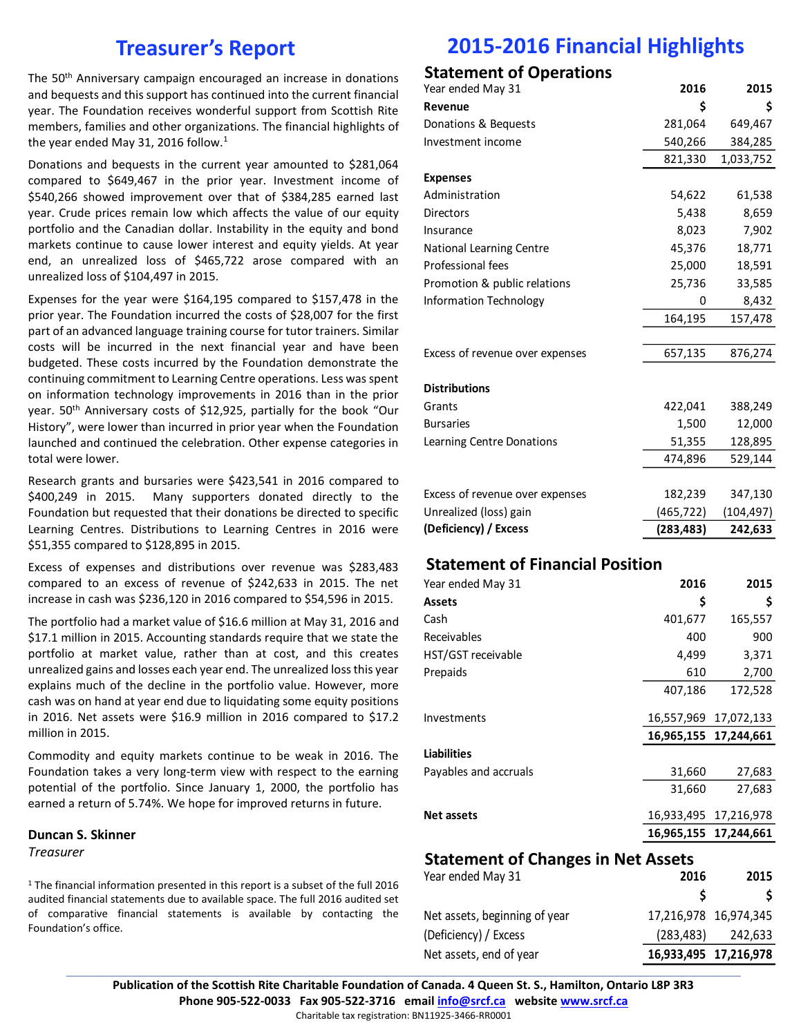# **Treasurer's Report**

The 50th Anniversary campaign encouraged an increase in donations and bequests and this support has continued into the current financial year. The Foundation receives wonderful support from Scottish Rite members, families and other organizations. The financial highlights of the year ended May 31, 2016 follow.<sup>1</sup>

Donations and bequests in the current year amounted to \$281,064 compared to \$649,467 in the prior year. Investment income of \$540,266 showed improvement over that of \$384,285 earned last year. Crude prices remain low which affects the value of our equity portfolio and the Canadian dollar. Instability in the equity and bond markets continue to cause lower interest and equity yields. At year end, an unrealized loss of \$465,722 arose compared with an unrealized loss of \$104,497 in 2015.

Expenses for the year were \$164,195 compared to \$157,478 in the prior year. The Foundation incurred the costs of \$28,007 for the first part of an advanced language training course for tutor trainers. Similar costs will be incurred in the next financial year and have been budgeted. These costs incurred by the Foundation demonstrate the continuing commitment to Learning Centre operations. Less was spent on information technology improvements in 2016 than in the prior year. 50<sup>th</sup> Anniversary costs of \$12,925, partially for the book "Our History", were lower than incurred in prior year when the Foundation launched and continued the celebration. Other expense categories in total were lower.

Research grants and bursaries were \$423,541 in 2016 compared to \$400,249 in 2015. Many supporters donated directly to the Foundation but requested that their donations be directed to specific Learning Centres. Distributions to Learning Centres in 2016 were \$51,355 compared to \$128,895 in 2015.

Excess of expenses and distributions over revenue was \$283,483 compared to an excess of revenue of \$242,633 in 2015. The net increase in cash was \$236,120 in 2016 compared to \$54,596 in 2015.

The portfolio had a market value of \$16.6 million at May 31, 2016 and \$17.1 million in 2015. Accounting standards require that we state the portfolio at market value, rather than at cost, and this creates unrealized gains and losses each year end. The unrealized loss this year explains much of the decline in the portfolio value. However, more cash was on hand at year end due to liquidating some equity positions in 2016. Net assets were \$16.9 million in 2016 compared to \$17.2 million in 2015.

Commodity and equity markets continue to be weak in 2016. The Foundation takes a very long-term view with respect to the earning potential of the portfolio. Since January 1, 2000, the portfolio has earned a return of 5.74%. We hope for improved returns in future.

#### **Duncan S. Skinner**

*Treasurer*

<sup>1</sup> The financial information presented in this report is a subset of the full 2016 audited financial statements due to available space. The full 2016 audited set of comparative financial statements is available by contacting the Foundation's office.

# **2015-2016 Financial Highlights**

### **Statement of Operations**

| Year ended May 31               | 2016       | 2015       |
|---------------------------------|------------|------------|
| Revenue                         | \$         | \$         |
| Donations & Bequests            | 281,064    | 649,467    |
| Investment income               | 540,266    | 384,285    |
|                                 | 821,330    | 1,033,752  |
| <b>Expenses</b>                 |            |            |
| Administration                  | 54,622     | 61,538     |
| <b>Directors</b>                | 5,438      | 8,659      |
| Insurance                       | 8,023      | 7,902      |
| <b>National Learning Centre</b> | 45,376     | 18,771     |
| Professional fees               | 25,000     | 18,591     |
| Promotion & public relations    | 25,736     | 33,585     |
| Information Technology          | 0          | 8,432      |
|                                 | 164,195    | 157,478    |
|                                 |            |            |
| Excess of revenue over expenses | 657,135    | 876,274    |
|                                 |            |            |
| <b>Distributions</b>            |            |            |
| Grants                          | 422,041    | 388,249    |
| <b>Bursaries</b>                | 1,500      | 12,000     |
| Learning Centre Donations       | 51,355     | 128,895    |
|                                 | 474,896    | 529,144    |
|                                 |            |            |
| Excess of revenue over expenses | 182,239    | 347,130    |
| Unrealized (loss) gain          | (465,722)  | (104, 497) |
| (Deficiency) / Excess           | (283, 483) | 242,633    |

#### **Statement of Financial Position**

| Year ended May 31     | 2016       | 2015                  |
|-----------------------|------------|-----------------------|
| <b>Assets</b>         | \$         | \$                    |
| Cash                  | 401,677    | 165,557               |
| Receivables           | 400        | 900                   |
| HST/GST receivable    | 4,499      | 3,371                 |
| Prepaids              | 610        | 2,700                 |
|                       | 407,186    | 172,528               |
| Investments           | 16,557,969 | 17,072,133            |
|                       |            | 16,965,155 17,244,661 |
| <b>Liabilities</b>    |            |                       |
| Payables and accruals | 31,660     | 27,683                |
|                       | 31,660     | 27,683                |
| <b>Net assets</b>     | 16,933,495 | 17,216,978            |
|                       |            | 16,965,155 17,244,661 |

#### **Statement of Changes in Net Assets**

| Year ended May 31             | 2016                  | 2015    |
|-------------------------------|-----------------------|---------|
|                               |                       |         |
| Net assets, beginning of year | 17,216,978 16,974,345 |         |
| (Deficiency) / Excess         | (283, 483)            | 242,633 |
| Net assets, end of year       | 16,933,495 17,216,978 |         |

**\_\_\_\_\_\_\_\_\_\_\_\_\_\_\_\_\_\_\_\_\_\_\_\_\_\_\_\_\_\_\_\_\_\_\_\_\_\_\_\_\_\_\_\_\_\_\_\_\_\_\_\_\_\_\_\_\_\_\_\_\_\_\_\_\_\_\_\_\_\_\_\_\_\_\_\_\_\_\_\_\_\_\_\_\_\_\_\_\_\_\_\_\_\_\_\_\_\_\_\_\_\_\_\_\_\_\_\_\_\_\_\_\_\_\_\_\_\_\_\_\_\_\_\_\_\_\_\_\_\_\_\_\_\_\_\_\_\_\_\_\_\_\_\_\_\_\_\_\_\_\_\_\_\_\_\_\_\_\_\_\_\_\_\_\_\_\_\_\_\_\_\_\_\_\_\_\_\_\_\_\_\_\_\_\_\_\_\_\_\_\_\_\_\_\_\_\_\_\_\_\_\_\_\_\_\_\_ Publication of the Scottish Rite Charitable Foundation of Canada. 4 Queen St. S., Hamilton, Ontario L8P 3R3 Phone 905-522-0033 Fax 905-522-3716 email [info@srcf.ca](mailto:info@srcf.ca) website [www.srcf.ca](http://www.srcf.ca/)**

Charitable tax registration: BN11925-3466-RR0001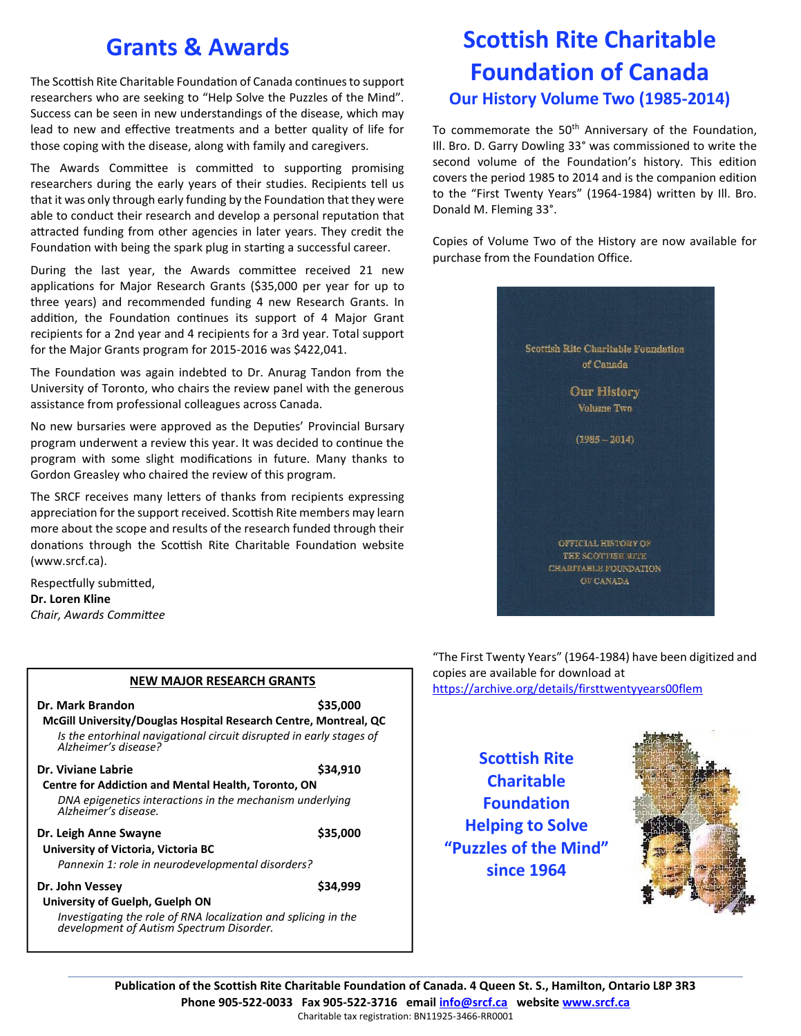# **Grants & Awards**

The Scottish Rite Charitable Foundation of Canada continues to support researchers who are seeking to "Help Solve the Puzzles of the Mind". Success can be seen in new understandings of the disease, which may lead to new and effective treatments and a better quality of life for those coping with the disease, along with family and caregivers.

The Awards Committee is committed to supporting promising researchers during the early years of their studies. Recipients tell us that it was only through early funding by the Foundation that they were able to conduct their research and develop a personal reputation that attracted funding from other agencies in later years. They credit the Foundation with being the spark plug in starting a successful career.

During the last year, the Awards committee received 21 new applications for Major Research Grants (\$35,000 per year for up to three years) and recommended funding 4 new Research Grants. In addition, the Foundation continues its support of 4 Major Grant recipients for a 2nd year and 4 recipients for a 3rd year. Total support for the Major Grants program for 2015-2016 was \$422,041.

The Foundation was again indebted to Dr. Anurag Tandon from the University of Toronto, who chairs the review panel with the generous assistance from professional colleagues across Canada.

No new bursaries were approved as the Deputies' Provincial Bursary program underwent a review this year. It was decided to continue the program with some slight modifications in future. Many thanks to Gordon Greasley who chaired the review of this program.

The SRCF receives many letters of thanks from recipients expressing appreciation for the support received. Scottish Rite members may learn more about the scope and results of the research funded through their donations through the Scottish Rite Charitable Foundation website (www.srcf.ca).

Respectfully submitted, **Dr. Loren Kline** *Chair, Awards Committee*

| Dr. Mark Brandon                                                                                           | \$35,000 |
|------------------------------------------------------------------------------------------------------------|----------|
| McGill University/Douglas Hospital Research Centre, Montreal, QC                                           |          |
| Is the entorhinal navigational circuit disrupted in early stages of<br>Alzheimer's disease?                |          |
| Dr. Viviane Labrie                                                                                         | \$34.910 |
| <b>Centre for Addiction and Mental Health, Toronto, ON</b>                                                 |          |
| DNA epigenetics interactions in the mechanism underlying<br>Alzheimer's disease.                           |          |
| Dr. Leigh Anne Swayne                                                                                      | \$35,000 |
| University of Victoria, Victoria BC                                                                        |          |
| Pannexin 1: role in neurodevelopmental disorders?                                                          |          |
| Dr. John Vessey                                                                                            | \$34.999 |
| University of Guelph, Guelph ON                                                                            |          |
| Investigating the role of RNA localization and splicing in the<br>development of Autism Spectrum Disorder. |          |

# **Scottish Rite Charitable Foundation of Canada Our History Volume Two (1985-2014)**

To commemorate the 50<sup>th</sup> Anniversary of the Foundation, Ill. Bro. D. Garry Dowling 33° was commissioned to write the second volume of the Foundation's history. This edition covers the period 1985 to 2014 and is the companion edition to the "First Twenty Years" (1964-1984) written by Ill. Bro. Donald M. Fleming 33°.

Copies of Volume Two of the History are now available for purchase from the Foundation Office.



"The First Twenty Years" (1964-1984) have been digitized and copies are available for download at <https://archive.org/details/firsttwentyyears00flem> **NEW MAJOR RESEARCH GRANTS**

### **Scottish Rite Charitable Foundation Helping to Solve "Puzzles of the Mind" since 1964**



**\_\_\_\_\_\_\_\_\_\_\_\_\_\_\_\_\_\_\_\_\_\_\_\_\_\_\_\_\_\_\_\_\_\_\_\_\_\_\_\_\_\_\_\_\_\_\_\_\_\_\_\_\_\_\_\_\_\_\_\_\_\_\_\_\_\_\_\_\_\_\_\_\_\_\_\_\_\_\_\_\_\_\_\_\_\_\_\_\_\_\_\_\_\_\_\_\_\_\_\_\_\_\_\_\_\_\_\_\_\_\_\_\_\_\_\_\_\_\_\_\_\_\_\_\_\_\_\_\_\_\_\_\_\_\_\_\_\_\_\_\_\_\_\_\_\_\_\_\_\_\_\_\_\_\_\_\_\_\_\_\_\_\_\_\_\_\_\_\_\_\_\_\_\_\_\_\_\_\_\_\_\_\_\_\_\_\_\_\_\_\_\_\_\_\_\_\_\_\_\_\_\_\_\_\_\_\_ Publication of the Scottish Rite Charitable Foundation of Canada. 4 Queen St. S., Hamilton, Ontario L8P 3R3 Phone 905-522-0033 Fax 905-522-3716 email [info@srcf.ca](mailto:info@srcf.ca) websit[e www.srcf.ca](http://www.srcf.ca/)** Charitable tax registration: BN11925-3466-RR0001